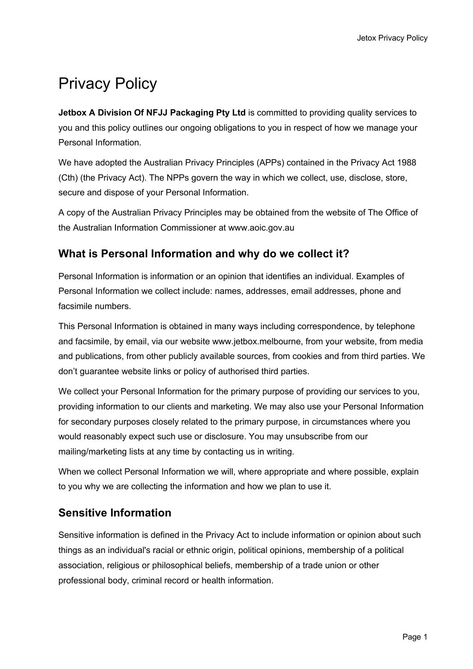# Privacy Policy

**Jetbox A Division Of NFJJ Packaging Pty Ltd** is committed to providing quality services to you and this policy outlines our ongoing obligations to you in respect of how we manage your Personal Information.

We have adopted the Australian Privacy Principles (APPs) contained in the Privacy Act 1988 (Cth) (the Privacy Act). The NPPs govern the way in which we collect, use, disclose, store, secure and dispose of your Personal Information.

A copy of the Australian Privacy Principles may be obtained from the website of The Office of the Australian Information Commissioner at www.aoic.gov.au

# **What is Personal Information and why do we collect it?**

Personal Information is information or an opinion that identifies an individual. Examples of Personal Information we collect include: names, addresses, email addresses, phone and facsimile numbers.

This Personal Information is obtained in many ways including correspondence, by telephone and facsimile, by email, via our website www.jetbox.melbourne, from your website, from media and publications, from other publicly available sources, from cookies and from third parties. We don't guarantee website links or policy of authorised third parties.

We collect your Personal Information for the primary purpose of providing our services to you, providing information to our clients and marketing. We may also use your Personal Information for secondary purposes closely related to the primary purpose, in circumstances where you would reasonably expect such use or disclosure. You may unsubscribe from our mailing/marketing lists at any time by contacting us in writing.

When we collect Personal Information we will, where appropriate and where possible, explain to you why we are collecting the information and how we plan to use it.

# **Sensitive Information**

Sensitive information is defined in the Privacy Act to include information or opinion about such things as an individual's racial or ethnic origin, political opinions, membership of a political association, religious or philosophical beliefs, membership of a trade union or other professional body, criminal record or health information.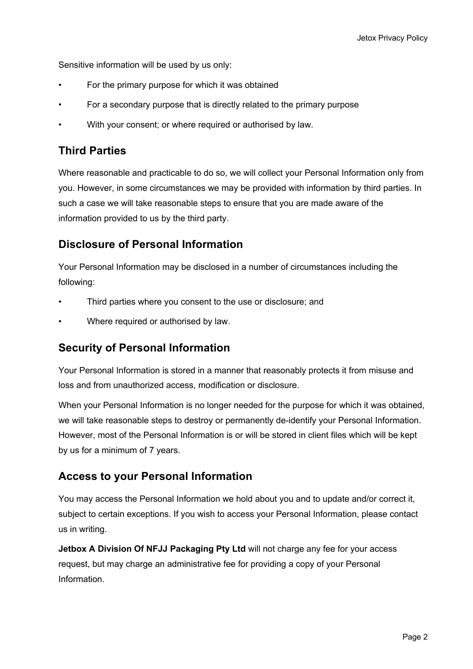Sensitive information will be used by us only:

- For the primary purpose for which it was obtained
- For a secondary purpose that is directly related to the primary purpose
- With your consent; or where required or authorised by law.

# **Third Parties**

Where reasonable and practicable to do so, we will collect your Personal Information only from you. However, in some circumstances we may be provided with information by third parties. In such a case we will take reasonable steps to ensure that you are made aware of the information provided to us by the third party.

### **Disclosure of Personal Information**

Your Personal Information may be disclosed in a number of circumstances including the following:

- Third parties where you consent to the use or disclosure; and
- Where required or authorised by law.

#### **Security of Personal Information**

Your Personal Information is stored in a manner that reasonably protects it from misuse and loss and from unauthorized access, modification or disclosure.

When your Personal Information is no longer needed for the purpose for which it was obtained, we will take reasonable steps to destroy or permanently de-identify your Personal Information. However, most of the Personal Information is or will be stored in client files which will be kept by us for a minimum of 7 years.

# **Access to your Personal Information**

You may access the Personal Information we hold about you and to update and/or correct it, subject to certain exceptions. If you wish to access your Personal Information, please contact us in writing.

**Jetbox A Division Of NFJJ Packaging Pty Ltd** will not charge any fee for your access request, but may charge an administrative fee for providing a copy of your Personal Information.